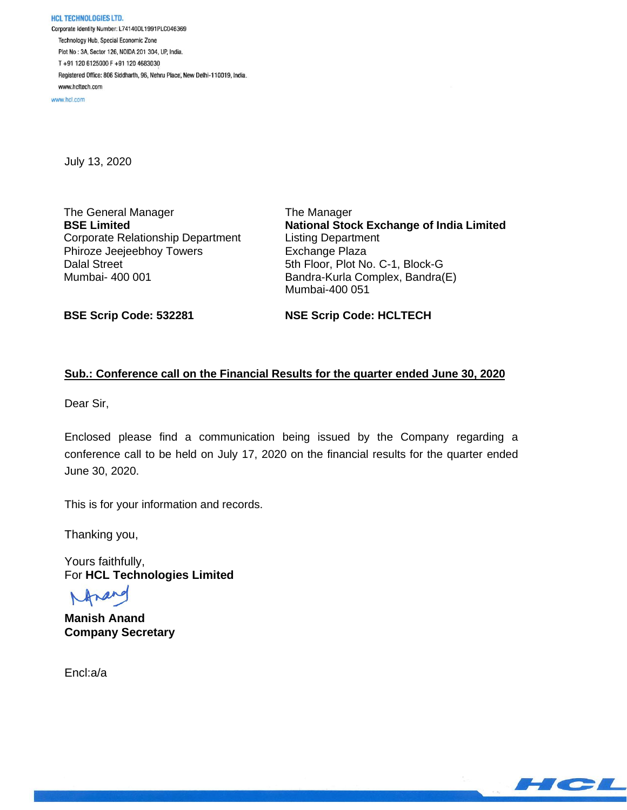www.hcl.com

July 13, 2020

The General Manager **BSE Limited** Corporate Relationship Department Phiroze Jeejeebhoy Towers Dalal Street Mumbai- 400 001

The Manager **National Stock Exchange of India Limited** Listing Department Exchange Plaza 5th Floor, Plot No. C-1, Block-G Bandra-Kurla Complex, Bandra(E) Mumbai-400 051

**BSE Scrip Code: 532281**

**NSE Scrip Code: HCLTECH**

## **Sub.: Conference call on the Financial Results for the quarter ended June 30, 2020**

Dear Sir,

Enclosed please find a communication being issued by the Company regarding a conference call to be held on July 17, 2020 on the financial results for the quarter ended June 30, 2020.

This is for your information and records.

Thanking you,

Yours faithfully, For **HCL Technologies Limited**

**Manish Anand Company Secretary**

Encl:a/a